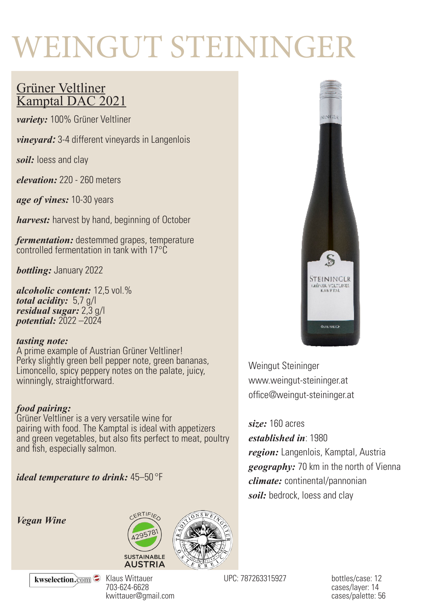# WEINGUT STEININGER

### Grüner Veltliner Kamptal DAC 2021

*variety:* 100% Grüner Veltliner

*vineyard:* 3-4 different vineyards in Langenlois

*soil:* loess and clay

*elevation:* 220 - 260 meters

*age of vines:* 10-30 years

*harvest:* harvest by hand, beginning of October

*fermentation:* destemmed grapes, temperature controlled fermentation in tank with 17°C

*bottling:* January 2022

*alcoholic content:* 12,5 vol.% *total acidity:* 5,7 g/l *residual sugar:* 2,3 g/l *potential:* 2022 –2024

#### *tasting note:*

A prime example of Austrian Grüner Veltliner! Perky slightly green bell pepper note, green bananas, Limoncello, spicy peppery notes on the palate, juicy, winningly, straightforward.

#### *food pairing:*

Grüner Veltliner is a very versatile wine for pairing with food. The Kamptal is ideal with appetizers and green vegetables, but also fits perfect to meat, poultry and fish, especially salmon.

*ideal temperature to drink:* 45–50 °F

*Vegan Wine*







Weingut Steininger www.weingut-steininger.at office@weingut-steininger.at

*size:* 160 acres

*established in*: 1980

*region:* Langenlois, Kamptal, Austria *geography:* 70 km in the north of Vienna *climate:* continental/pannonian *soil:* bedrock, loess and clay

kwselection.com

Klaus Wittauer 703-624-6628 kwittauer@gmail.com

UPC: 787263315927 bottles/case: 12

cases/layer: 14 cases/palette: 56